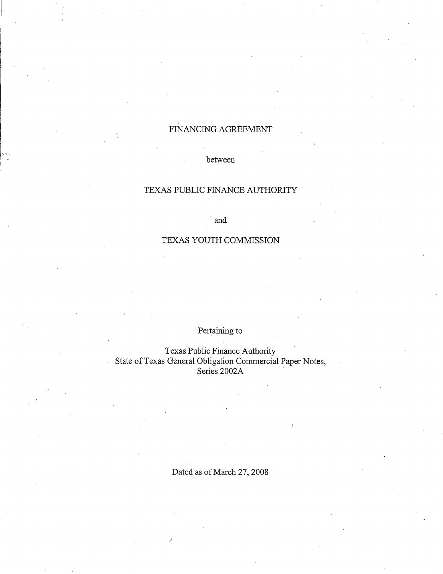## FINANCING AGREEMENT

## between

## TEXAS PUBLIC FINANCE AUTHORITY

·and

## TEXAS YOUTH COMMISSION

Pertaining to

Texas Public Finance Authority State of Texas General Obligation Commercial Paper Notes,  $\overline{a}$ Series 2002A

Dated as of March 27, 2008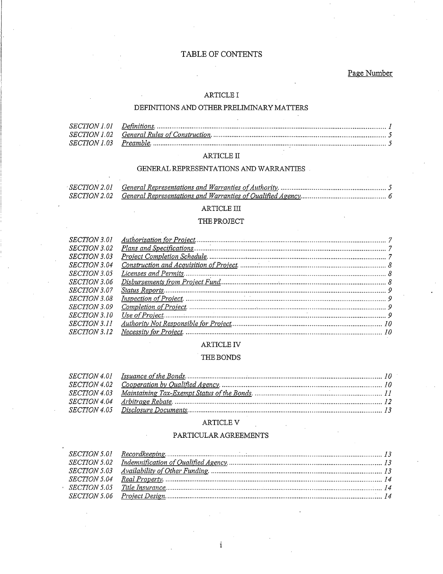## TABLE OF CONTENTS

Page Number

## ARTICLE I

## DEFINITIONS AND OTHER PRELIMINARY MATTERS

## $\operatorname{ARTICLE}$  II

### GENERAL REPRESENTATIONS AND WARRANTIES

| <i>SECTION 2.01</i> |  |
|---------------------|--|
|                     |  |

## $\operatorname{ARTICLE}$  III

### THE PROJECT

| <i>SECTION 3.01</i> |  |
|---------------------|--|
| <i>SECTION 3.02</i> |  |
| <i>SECTION 3.03</i> |  |
| <i>SECTION 3.04</i> |  |
| <i>SECTION 3.05</i> |  |
| <i>SECTION 3.06</i> |  |
| <i>SECTION 3.07</i> |  |
| <i>SECTION 3.08</i> |  |
| <i>SECTION 3.09</i> |  |
| <i>SECTION 3.10</i> |  |
| <i>SECTION 3.11</i> |  |
| <i>SECTION</i> 3.12 |  |
|                     |  |

## ARTICLE IV

## THE BONDS

#### ARTICLE V

## PARTICULAR AGREEMENTS

 $\mathbf{i}$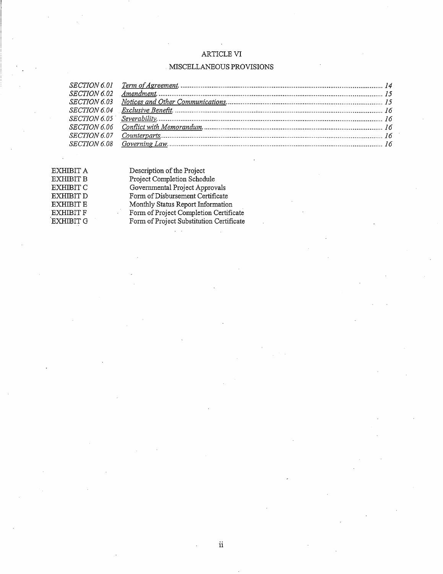## ARTICLE VI

## . MISCELLANEOUS PROVISIONS

EXHIBIT A EXHIBIT **B** EXHIBIT C EXHIBITD  $\operatorname{EXHIBIT}$  E  $\mathop{\rm EXHIBIT}$  F .EXHIBITG Description of the Project Project Completion Schedule Govermnental Project Approvals Form of Disbursement Certificate Monthly Status Report Information Form of Project Completion Certificate Form of Project Substitution Certificate  $\mathcal{L}^{\mathcal{L}}$  .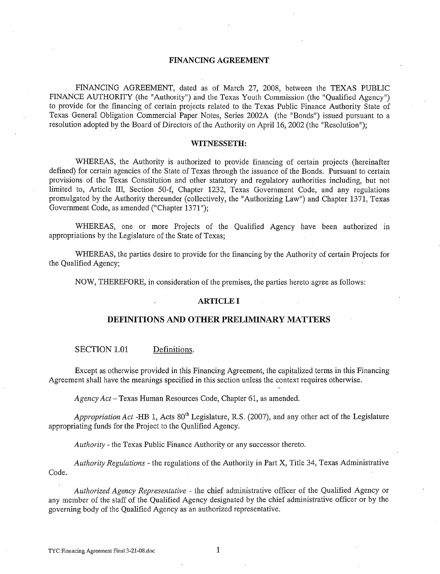### **FINANCING AGREEMENT**

FINANCING AGREEMENT, dated as of March 27, 2008, between the TEXAS PUBLIC FINANCE AUTHORITY (the "Authority") and the Texas Youth Commission (the "Qualified Agency") to provide for the financing of certain projects related to the Texas Public Finance Authority State of Texas General Obligation Commercial Paper Notes, Series 2002A (the "Bonds") issued pursuant to a resolution adopted by the Board of Directors of the Authority on April 16, 2002 (the "Resolution");

#### **WITNESSETH:**

WHEREAS, the Authority is authorized to provide financing of certain projects (hereinafter defined) for certain agencies of the State of Texas through the issuance of the Bonds. Pursuant to certain provisions of the Texas Constitution and other statutory and regulatory authorities including, but not limited to, Article III, Section 50-f, Chapter 1232, Texas Government Code, and any regulations promulgated by the Authority thereunder (collectively, the "Authorizing Law") and Chapter 1371, Texas Government Code, as amended ("Chapter 1371");

WHEREAS, one or more Projects of the Qualified Agency have been authorized in appropriations by the Legislature of the State of Texas;

WHEREAS, the parties desire to provide for the financing by the Authority of certain Projects for the Qualified Agency;

NOW, THEREFORE, in consideration of the premises, the parties hereto agree as follows:

#### **ARTICLE I**

#### **DEFINITIONS AND OTHER PRELIMINARY MATTERS**

SECTION 1.01 Definitions.

Except as otherwise provided in this Financing Agreement, the capitalized terms in this Financing Agreement shall have the meanings specified in this section unless the context requires otherwise.

*Agency Act-*Texas Human Resources Code, Chapter 61, as amended.

Appropriation Act -HB 1, Acts 80<sup>th</sup> Legislature, R.S. (2007), and any other act of the Legislature appropriating funds for the Project to the Qualified Agency.

*Authority-* the Texas Public Finance Authority or any successor thereto.

*Authority Regulations* - the regulations of the Authority in Part X, Title 34, Texas Administrative Code.

*Authorized Agency Representative* - the chief administrative officer of the Qualified Agency or any member of the staff of the Qualified Agency designated by the chief administrative officer or by the governing body of the Qualified Agency as an authorized representative.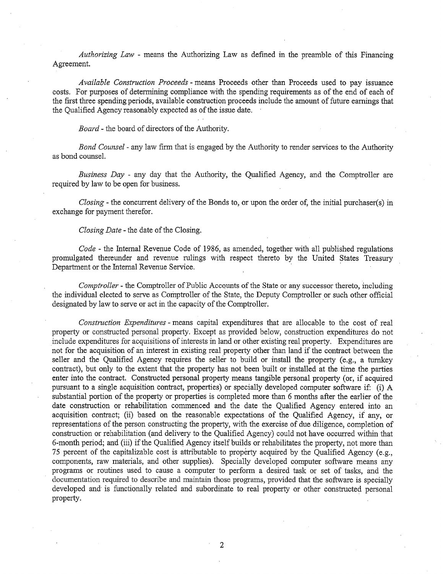*Authorizing Law* - means the Authorizing Law as defined in the preamble of this Financing Agreement.

*Available Construction Proceeds* - means Proceeds other than Proceeds used to pay issuance costs. For purposes of determining compliance with the spending requirements as of the end of each of the first three spending periods, available construction proceeds include the amount of future earnings that the Qualified Agency reasonably expected as of the issue date.

*Board-* the board of directors of the Authority.

*Bond Counsel-* any law firm that is engaged by the Authority to render services to the Authority as bond counsel.

*Business Day* - any day that the Authority, the Qualified Agency, and the Comptroller are required by law to be open for business.

*Closing-* the concurrent delivery of the Bonds to, or upon the order of, the initial purchaser(s) in exchange for payment therefor.

#### *Closing Date-* the date of the Closing.

*Code-* the Internal Revenue Code of 1986, as amended, together with all published regulations promulgated thereunder and revenue rulings with respect thereto by the United States Treasury Department or the Internal Revenue Service.

*Comptroller* - the Comptroller of Public Accounts of the State or any successor thereto, including the individual elected to serve as Comptroller of the State, the Deputy Comptroller or such other official designated by law to serve or act in the capacity of the Comptroller.

*Construction Expenditures* - means capital expenditures that are allocable to the cost of real property or constructed personal property. Except as provided below, construction expenditures do not include expenditures for acquisitions of interests in land or other existing real property. Expenditures are not for the acquisition of an interest in existing real property other than land if the contract between the seller and the Qualified Agency requires the seller to build or install the property (e.g., a turnkey contract), but only to the extent that the property has not been built or installed at the time the parties enter into the contract. Constructed personal property means tangible personal property (or, if acquired pursuant to a single acquisition contract, properties) or specially developed computer software if: (i) A substantial portion of the property or properties is completed more than 6 months after the earlier of the date construction or rehabilitation commenced and the date the Qualified Agency entered into an acquisition contract; (ii) based on the reasonable expectations of the Qualified Agency, if any, or representations of the person constructing the property, with the exercise of due diligence, completion of construction or rehabilitation (and delivery to the Qualified Agency) could not have occurred within that 6-month period; and (iii) if the Qualified Agency itself builds or rehabilitates the property, not more than 75 percent of the capitalizable cost is attributable to property acquired by the Qualified Agency (e.g., components, raw materials, and other supplies). Specially developed computer software means any programs or routines used to cause a computer to perform a desired task or set of tasks, and the documentation required to describe and maintain those programs, provided that the software is specially developed and is functionally related and subordinate to real property or other constructed personal property.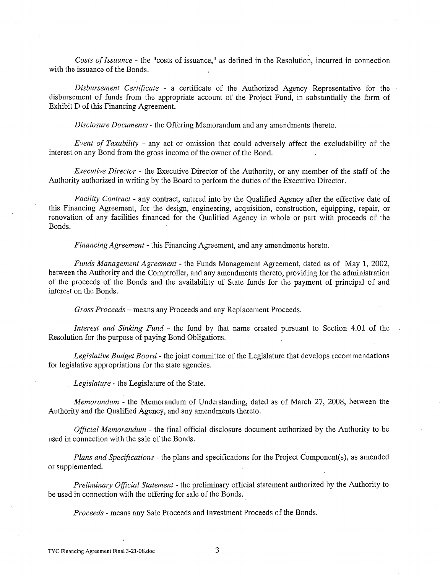*Costs of Issuance* - the "costs of issuance," as defined in the Resolution, incurred in connection with the issuance of the Bonds.

*Disbursement Certificate* - a certiilcate of the Authorized Agency Representative for the disbursement of funds from the appropriate account of the Project Fund, in substantially the form of Exhibit D of this Financing Agreement.

*Disclosure Documents* - the Offering Memorandum and any amendments thereto.

*Event of Taxability* - any act or omission that could adversely affect the excludability of the interest on any Bond from the gross income of the owner of the Bond.

*Executive Director* - the Executive Director of the Authority, or any member of the staff of the Authority authorized in writing by the Board to perform the duties of the Executive Director.

*Facility Contract* - any contract, entered into by the Qualified Agency after the effective date of this Financing Agreement, for the design, engineering, acquisition, construction, equipping, repair, or renovation of any facilities financed for the Qualified Agency in whole or part with proceeds of the Bonds.

*Financing Agreement-* this Financing Agreement, and any amendments hereto.

*Funds Management Agreement-* the Funds Management Agreement, dated as of May 1, 2002, between the Authority and the Comptroller, and any amendments thereto, providing for the administration of the proceeds of the Bonds and the availability of State funds for the payment of principal of and interest on the Bonds.

*Gross Proceeds-* means any Proceeds and any Replacement Proceeds.

*Interest and Sinking Fund* - the fund by that name created pursuant to Section 4.01 of the Resolution for the purpose of paying Bond Obligations.

*Legislative Budget Board-* the joint committee of the Legislature that develops recommendations for legislative appropriations for the state agencies.

*Legislature* - the Legislature of the State.

*Memorandum* - the Memorandum of Understanding, dated as of March 27, 2008, between the Authority and the Qualified Agency, and any amendments thereto.

*Official Memorandum* - the final official disclosure document authorized by the Authority to be used in connection with the sale of the Bonds.

*Plans and Specifications-* the plans and specifications for the Project Component(s), as amended or supplemented.

*Preliminary Official Statement* - the preliminary official statement authorized by the Authority to be used in connection with the offering for sale of the Bonds.

*Proceeds* - means any Sale Proceeds and Investment Proceeds of the Bonds.

TYC Financing Agreement Final 3-21-08.doc 3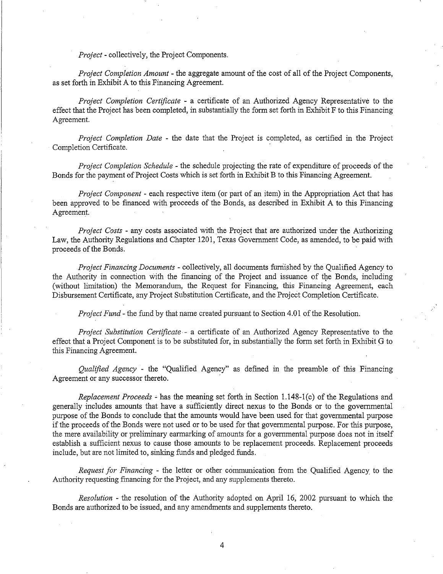*Project-* collectively, the Project Components.

*Project Completion Amount* - the aggregate amount of the cost of all of the Project Components, as set forth in Exhibit A to this Financing Agreement.

*Project Completion Certificate* - a certificate of an Authorized Agency Representative to the effect that the Project has been completed, in substantially the form set forth in Exhibit F to this Financing Agreement.

*Project Completion Date* - the date that the Project is completed, as certified in the Project Completion Certificate.

*Project Completion Schedule* - the schedule projecting the rate of expenditure of proceeds of the Bonds for the payment of Project Costs which is set forth in Exhibit B to this Financing Agreement.

*Project Component* - each respective item (or part of an item) in the Appropriation Act that has been approved to be financed with proceeds of the Bonds, as described in Exhibit A to this Financing Agreement.

*Project Costs* - any costs associated with the Project that are authorized under the Authorizing Law, the Authority Regulations and Chapter 1201, Texas Government Code, as amended, to be paid with proceeds of the Bonds.

*Project Financing Documents* - collectively, all documents furnished by the Qualified Agency to the Authority in connection with the financing of the Project and issuance of the Bonds, including (without limitation) the Memorandum, the Request for Financing, this Financing Agreement, each Disbursement Certificate, any Project Substitution Certificate, and the Project Completion Certificate.

*Project Fund-* the fund by that name created pursuant to Section 4.01 of the Resolution.

*Project Substitution Certificate* - a certificate of an Authorized Agency Representative to the effect that a Project Component is to be substituted for, in substantially the form set forth in Exhibit G to this Financing Agreement.

*Qualified Agency* - the "Qualified Agency" as defined m the preamble of this Financing Agreement or any successor thereto.

*Replacement Proceeds* ~ has the meaning set forth in Section 1.148-1 (c) of the Regulations and generally includes amounts that have a sufficiently direct nexus to the Bonds or to the governmental purpose of the Bonds to conclude that the amounts would have been used for that governmental purpose if the proceeds of the Bonds were not used or to be used for that governmental purpose. For this purpose, the mere availability or preliminary earmarking of amounts for a governmental purpose does not in itself establish a sufficient nexus to cause those amounts to be replacement proceeds. Replacement proceeds include, but are not limited to, sinking funds and pledged funds.

*Request for Financing* - the letter or other communication from the Qualified Agency to the Authority requesting financing for the Project, and any supplements thereto.

*Resolution* - the resolution of the Authority adopted on April 16, 2002 pursuant to which the Bonds are authorized to be issued, and any amendments and supplements thereto.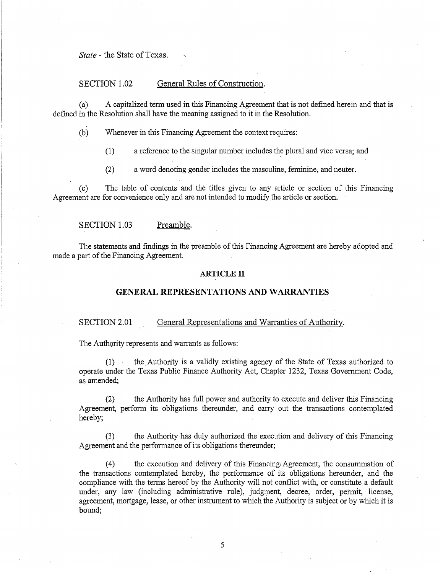*State-* the State of Texas.

## SECTION 1.02 General Rules of Construction.

(a) A capitalized term used in this Financing Agreement that is not defined herein and that is defined in the Resolution shall have the meaning assigned to it in the Resolution.

(b) Whenever in this Financing Agreement the context requires:

(1) a reference to the singular number includes the plural and vice versa; and

(2) a word denoting gender includes the masculine, feminine, and neuter.

(c) The table of contents and the titles given to any article or section of this Financing Agreement are for convenience only and are not intended to modify the article or section.

SECTION 1.03 Preamble.

The statements and findings in the preamble of this Financing Agreement are hereby adopted and made a part of the Financing Agreement.

#### **ARTICLE IT**

#### **GENERAL REPRESENTATIONS AND WARRANTIES**

#### SECTION 2.01 General Representations and Warranties of Authority.

The Authority represents and warrants as follows:

(1) the. Authority is a validly existing agency of the State of Texas authorized to operate under the Texas Public Finance Authority Act, Chapter 1232, Texas Government Code, as amended;

(2) the Authority has full power and authority to execute and deliver this Financing Agreement, perform its obligations thereunder, and carry out the transactions contemplated hereby;

(3) the Authority has duly authorized the execution and delivery of this Financing Agreement and the performance of its obligations thereunder;

(4) the execution and delivery of this Financing Agreement, the consummation of the transactions contemplated hereby, the performance of its obligations hereunder, and the compliance with the terms hereof by the Authority will not conflict with, or constitute a default under, any law (including administrative rule), judgment, decree, order, permit, license, agreement, mortgage, lease, or other instrument to which the Authority is subject or by which it is bound;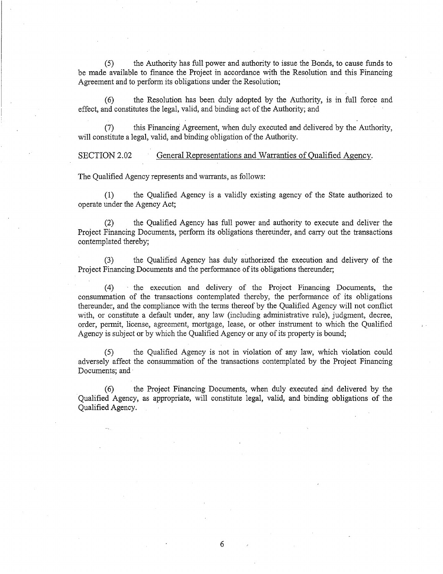(5) the Authority has full power and authority to issue the Bonds, to cause funds to be made available to finance the Project in accordance with the Resolution and this Financing Agreement and to perform its obligations under the Resolution;

(6) the Resolution has been duly adopted by the Authority, is in full force and effect, and constitutes the legal, valid, and binding act of the Authority; and

(7) this Financing Agreement, when duly executed and delivered by the Authority, will constitute a legal, valid, and binding obligation of the Authority.

SECTION 2.02 General Representations and Warranties of Qualified Agency.

The Qualified Agency represents and warrants, as follows:

(1) the Qualified Agency is a validly existing agency of the State authorized to operate under the Agency Act;

(2) the Qualified Agency has full power and authority to execute and deliver the Project Financing Documents, perform its obligations thereunder, and carry out the transactions contemplated thereby;

(3) the Qualified Agency has duly authorized the execution and delivery of the Project Financing Documents and the performance of its obligations thereunder;

(4) the execution and delivery of the Project Financing Documents, the consummation of the transactions contemplated thereby, the performance of its obligations thereunder, and the compliance with the terms thereof by the Qualified Agency will not conflict with, or constitute a default under, any law (including administrative rule), judgment, decree, order, permit, license, agreement, mortgage, lease, or other instrument to which the Qualified Agency is subject or by which the Qualified Agency or any of its property is bound;

(5) the Qualified Agency is not in violation of any law, which violation could adversely affect the consummation of the transactions contemplated by the Project Financing Documents; and

(6) the Project Financing Documents, when duly executed and delivered by the Qualified Agency, as appropriate, will constitute legal, valid, and binding obligations of the Qualified Agency.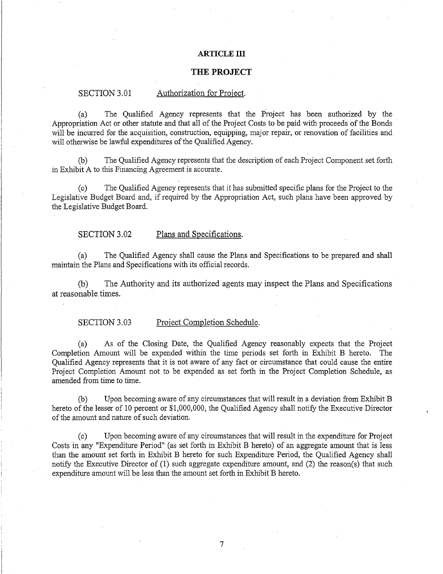#### **ARTICLE ill**

## **THE PROJECT**

## SECTION 3.01 Authorization for Project.

(a) The Qualified Agency represents that the Project has been authorized by the Appropriation Act or other statute and that all of the Project Costs to be paid with proceeds of the Bonds will be incurred for the acquisition, construction, equipping, major repair, or renovation of facilities and will otherwise be lawful expenditures of the Qualified Agency.

(b) The Qualified Agency represents that the description of each Project Component set forth in Exhibit A to this Financing Agreement is accurate.

(c) The Qualified Agency represents that it has submitted specific plans for the Project to the Legislative Budget Board and, if required by the Appropriation Act, such plans have been approved by the Legislative Budget Board.

#### SECTION 3.02 Plans and Specifications.

(a) The Qualified Agency shall cause the Plans and Specifications to be prepared and shall maintain the Plans and Specifications with its official records.

(b) The Authority and its authorized agents may inspect the Plans and Specifications at reasonable. times.

### SECTION 3.03 Project Completion Schedule.

(a) As of the Closing Date, the Qualified Agency reasonably expects that the Project Completion Amount will be expended within the time periods set forth in Exhibit B hereto. The Qualified Agency represents that it is not aware of any fact or circumstance that could cause the entire Project Completion Amount not to be expended as set forth in the Project Completion Schedule, as amended from time to time.

(b) Upon becoming aware of any circumstances that will result in a deviation from Exhibit B hereto of the lesser of 10 percent or \$1,000,000, the Qualified Agency shall notify the Executive Director of the amount and nature of such deviation.

(c) Upon becoming aware of any circumstances that will result in the expenditure for Project Costs in any "Expenditure Period" (as set forth in Exhibit B hereto) of an aggregate amount that is less than the amount set forth in Exhibit B hereto for such Expenditure Period, the Qualified Agency shall notify the Executive Director of (1) such aggregate expenditure amount, and (2) the reason(s) that such expenditure amount will be less than the amount set forth in Exhibit B hereto.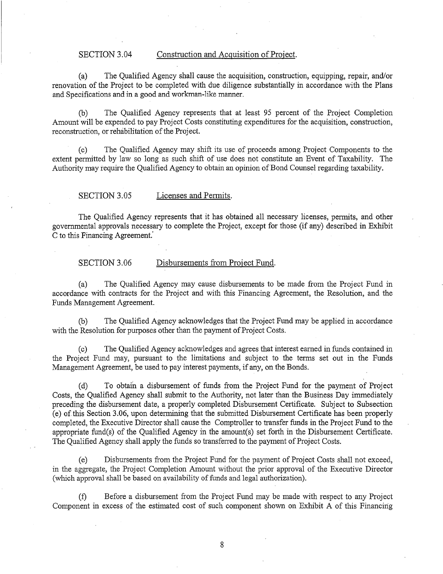## SECTION 3.04 Construction and Acquisition of Project.

(a) The Qualified Agency shall cause the acquisition, construction, equipping, repair, and/or renovation of the Project to be completed with due diligence substantially in accordance with the Plans and Specifications and in a good and workman-like manner.

(b) The Qualified Agency represents that at least 95 percent of the Project Completion Amount will be expended to pay Project Costs constituting expenditures for the acquisition, construction, reconstruction, or rehabilitation of the Project.

(c) The Qualified Agency may shift its use of proceeds among Project Components to the extent permitted by law so long as such shift of use does not constitute an Event of Taxability. The Authority may require the Qualified Agency to obtain an opinion of Bond Counsel regarding taxability.

#### SECTION 3.05 Licenses and Permits.

The Qualified Agency represents that it has obtained all necessary licenses, permits, and other governmental approvals necessary to complete the Project, except for those (if any) described in Exhibit C to this Financing Agreement.

## SECTION 3.06 Disbursements from Project Fund.

(a) The Qualified Agency may cause disbursements to be made from the Project Fund in accordance with contracts for the Project and with this Financing Agreement, the Resolution, and the Funds Management Agreement.

(b) The Qualified Agency acknowledges that the Project Fund may be applied in accordance with the Resolution for purposes other than the payment of Project Costs.

(c) The Qualified Agency acknowledges and agrees that interest earned in funds contained in the Project Fund may, pursuant to the limitations and subject to the terms set out in the Funds Management Agreement, be used to pay interest payments, if any, on the Bonds.

(d) To obtain a disbursement of funds from the Project Fund for the payment of Project Costs, the Qualified Agency shall submit to the Authority, not later than the Business Day immediately preceding the disbursement date, a properly completed Disbursement Certificate. Subject to Subsection (e) of this Section 3.06, upon determining that the submitted Disbursement Certificate has been properly completed, the Executive Director shall cause the Comptroller to transfer funds in the Project Fund to the appropriate fund(s) of the Qualified Agency in the amount(s) set forth in the Disbursement Certificate. The Qualified Agency shall apply the funds so transferred to the payment of Project Costs.

(e) Disbursements from the Project Fund for the payment of Project Costs shall not exceed, in the aggregate, the Project Completion Amount without the prior approval of the Executive Director (which approval shall be based on availability of funds and legal authorization).

(f) Before a disbursement from the Project Fund may be made with respect to any Project Component in excess of the estimated cost of such component shown on Exhibit A of this Financing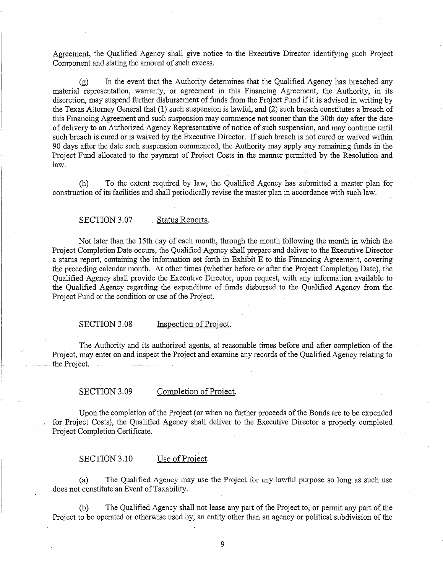Agreement, the Qualified Agency shall give notice to the Executive Director identifying such Project Component and stating the amount of such excess.

(g) . In the event that the Authority determines that the Qualified Agency has breached any material representation, warranty, or agreement in this Financing Agreement, the Authority, in its discretion, may suspend further disbursement of funds from the Project Fund if it is advised in writing by the Texas Attorney General that (1) such suspension is lawful, and (2) such breach constitutes a breach of this Financing Agreement and such suspension may commence not sooner than the 30th day after the date of delivery to an Authorized Agency Representative of notice of such suspension, and may continue until such breach is cured or is waived by the Executive Director. If such breach is not cured or waived within 90 days after the date such suspension commenced, the Authority may apply any remaining funds in the Project Fund allocated to the payment of Project Costs in the manner permitted by the Resolution and law.

(h) To the extent required by law, the Qualified Agency has submitted a master plan for construction of its facilities and shall periodically revise the master plan in accordance with such law.

### SECTION 3.07 Status Reports.

Not later than the 15th day of each month, through the month following the month in which the Project Completion Date occurs, the Qualified Agency shall prepare and deliver to the Executive Director a status report, containing the information set forth in Exhibit E to this Financing Agreement, covering the preceding calendar month. At other times (whether before or after the Project Completion Date), the Qualified Agency shall provide the Executive Director, upon request, with any information available to the Qualified Agency regarding the expenditure of funds disbursed to the Qualified Agency from the Project Fund or the condition or use of the Project.

### SECTION 3.08 Inspection of Project.

The Authority and its authorized agents, at reasonable times before and after completion of the Project, may enter on and inspect the Project and examine any records of the Qualified Agency relating to . the Project.

## SECTION 3.09 Completion of Project.

Upon the completion of the Project (or when no further proceeds of the Bonds are to be expended for Project Costs), the Qualified Agency shall deliver to the Executive Director a properly completed Project Completion Certificate.

SECTION 3.10 Use of Project.

(a) The Qualified Agency may use the Project for any lawful purpose so long as such use does not constitute an Event of Taxability.

(b) The Qualified Agency shall not lease any part of the Project to, or permit any part of the Project to be operated or otherwise used by, an entity other than an agency or political subdivision of the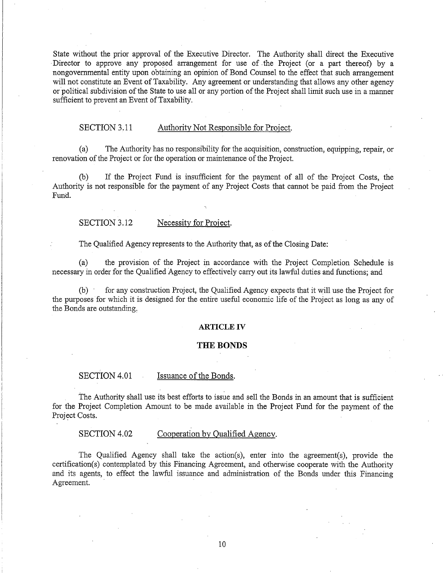State without the prior approval of the Executive Director. The Authority shall direct the Executive Director to approve any proposed arrangement for use of .the Project (or a part thereof) by a nongovernmental entity upon obtaining an opinion of Bond Counsel to the effect that such arrangement will not constitute an Event of Taxability. Any agreement or understanding that allows any other agency or political subdivision of the State to use all or any portion of the Project shall limit such use in a manner sufficient to prevent an Event of Taxability.

## SECTION 3.11 Authority Not Responsible for Project.

(a) The Authority has no responsibility for the acquisition, construction, equipping, repair, or renovation of the Project or for the operation or maintenance of the Project.

(b) If the Project Fund is insufficient for the payment of all of the Project Costs, the Authority is not responsible for the payment of any Project Costs that cannot be paid from the Project Fund.

#### SECTION 3.12 Necessity for Project.

The Qualified Agency represents to the Authority that, as of the Closing Date:

(a) the provision of the Project in accordance with the Project Completion Schedule is necessary in order for the Qualified Agency to effectively carry out its lawful duties and functions; and

(b) · for any construction Project, the Qualified Agency expects that it will use the Project for the purposes for which it is designed for the entire useful economic life of the Project as long as any of the Bonds ate outstanding,

#### **ARTICLE** IV

#### **THE BONDS**

#### SECTION 4.01 Issuance of the Bonds.

The Authority shall use its best efforts to issue and sell the Bonds in an amount that is sufficient for the Project Completion Amount to be made available in the Project Fund for the payment of the Project Costs.

SECTION 4.02 Cooperation by Qualified Agency.

The Qualified Agency shall take the action(s), enter into the agreement(s), provide the certification(s) contemplated by this Financing Agreement, and otherwise cooperate with the Authority and its agents, to effect the lawful issuance and administration of the Bonds under this Financing Agreement.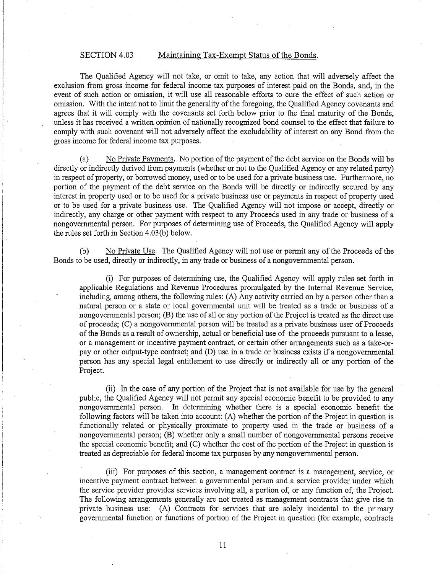## SECTION 4.03 Maintaining Tax-Exempt Status of the Bonds.

The Qualified Agency will not take, or omit to take, any action that will adversely affect the exclusion from gross income for federal income tax purposes of interest paid on the Bonds, and, in the event of such action or omission, it will use all reasonable efforts to cure the effect of such action or omission. With the intent not to limit the generality of the foregoing, the Qualified Agency covenants and agrees that it will comply with the covenants set forth below prior to the final maturity of the Bonds, unless it has received a written opinion of nationally recognized bond counsel to the effect that failure to comply with such covenant will not adversely affect the excludability of interest on any Bond from the gross income for federal income tax purposes.

(a) No Private Payments. No portion of the payment of the debt service on the Bonds will be directly or indirectly derived from payments (whether or not to the Qualified Agency or any related party) in respect of property, or borrowed money, used or to be used for a private business use. Furthermore, no portion of the payment of the debt service on the Bonds will be directly or indirectly secured by any interest in property used or to be used for a private business use or payments in respect of property used or to be used for a private business use. The Qualified Agency will not impose or accept, directly or indirectly, any charge or other payment with respect to any Proceeds used in any trade or business of a nongovernmental person. For purposes of determining use of Proceeds, the Qualified Agency will apply the rules set forth in Section 4.03(b) below.

(b) No Private Use. The Qualified Agency will not use or permit any of the Proceeds of the Bonds to be used, directly or indirectly, in any trade or business of a nongovernmental person.

(i) For purposes of determining use, the Qualified Agency will apply rules set forth in applicable Regulations and Revenue Procedures promulgated by the Internal Revenue Service, including, among others, the following rules: (A) Any activity carried on by a person other than a natural person or a state or local governmental unit will be treated as a trade or business of a nongovernmental person; (B) the use of all or any portion of the Project is treated as the direct use of proceeds; (C) a nongovernmental person will be treated as a private business user of Proceeds of the Bonds as a result of ownership, actual or beneficial use of the proceeds pursuant to a lease, or a management or incentive payment contract, or certain other arrangements such as a take-orpay or other output-type contract; and (D) use in a trade or business exists if a nongovernmental person has any special legal entitlement to use directly or indirectly all or any portion of the Project.

(ii) In the case of any portion of the Project that is not available for use by the general public, the Qualified Agency will not permit any special economic benefit to be provided to any nongovernmental person. fu determining whether there is a special economic benefit the following factors will be taken into account: (A) whether the portion of the Project in question is functionally related or physically proximate to property used in the trade or business of a nongovernmental person; (B) whether only a small number of nongovernmental persons receive the special economic benefit; and (C) whether the cost of the portion of the Project in question is treated as depreciable for federal income tax purposes by any nongovernmental person.

(iii) For purposes of this section, a management contract is a management, service, or incentive payment contract between a governmental person and a service provider under which the service provider provides services involving all, a portion of, or any function of, the Project. The following arrangements generally are not treated as management contracts that give rise to private business use: (A) Contracts for services that are solely incidental to the primary governmental function or functions of portion of the Project in question (for example, contracts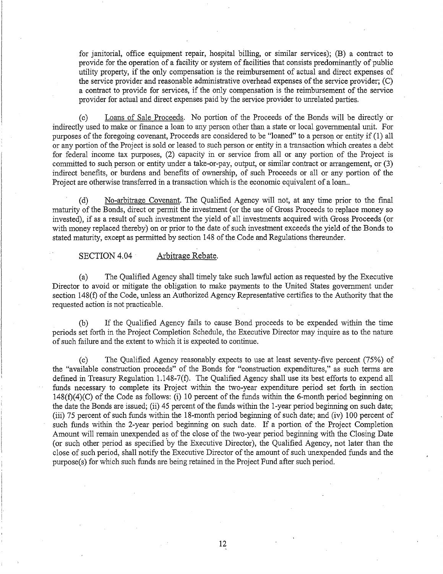for janitorial, office equipment repair, hospital billing, or similar services); (B) a contract to provide for the operation of a facility or system of facilities that consists predominantly of public utility property, if the only compensation is the reimbursement of actual and direct expenses of the service provider and reasonable administrative overhead expenses of the service provider; (C) a contract to provide for services, if the only compensation is the reimbursement of the service provider for actual and direct expenses paid by the service provider to unrelated parties.

(c) Loans of Sale Proceeds. No portion of the Proceeds of the Bonds will be directly or indirectly used to make or finance a loan to any person other than a state or local governmental unit. For purposes of the foregoing covenant, Proceeds are considered to be "loaned" to a person or entity if (1) all or any portion of the Project is sold or leased to such person or entity in a transaction which creates a debt for federal income tax purposes, (2) capacity in or service from all or any portion of the Project is committed to such person or entity under a take-or-pay, output, or similar contract or arrangement, or (3) indirect benefits, or burdens and benefits of ownership, of such Proceeds or all or any portion of the Project are otherwise transferred in a transaction which is the economic equivalent of a loan...

(d) No-arbitrage Covenant. The Qualified Agency will not, at any time prior to the final maturity of the Bonds, direct or permit the investment (or the use of Gross Proceeds to replace money so invested), if as a result of such investment the yield of all investments acquired with Gross Proceeds (or with money replaced thereby) on or prior to the date of such investment exceeds the yield of the Bonds to stated maturity, except as permitted by section 148 of the Code and Regulations thereunder.

SECTION 4.04 Arbitrage Rebate.

I. i

(a) The Qualified Agency shall timely take such lawful action as requested by the Executive Director to avoid or mitigate the obligation to make payments to the United States government under section 148(f) of the Code, unless an Authorized Agency Representative certifies to the Authority that the requested action is not practicable.

(b) If the Qualified Agency fails to cause Bond proceeds to be expended within the time periods set forth in the Project Completion Schedule, the Executive Director may inquire as to the nature of such failure and the extent to which it is expected to continue.

(c) The Qualified Agency reasonably expects to use at least seventy-five percent (75%) of the "available construction proceeds" of the Bonds for "construction expenditures," as such terms are defined in Treasury Regulation 1.148-7(f). The Qualified Agency shall use its best efforts to expend all funds necessary to complete its Project within the two-year expenditure period set forth in section 148(f)(4)(C) of the Code as follows: (i) 10 percent of the funds within the 6-month period beginning on the date the Bonds are issued; (ii) 45 percent of the funds within the 1-year period beginning on such date; (iii) 75 percent of such funds within the 18-month period beginning of such date; and (iv) 100 percent of such funds within the 2-year period beginning on such date. If a portion of the Project Completion Amount will remain unexpended as of the close of the two-year period beginning with the Closing Date (or such other period as specified 'by the Executive Director), the Qualified Agency, not later than the close of such period, shall notify the Executive Director of the amount of such unexpended funds and the purpose(s) for which such funds are being retained in the Project Fund after such period.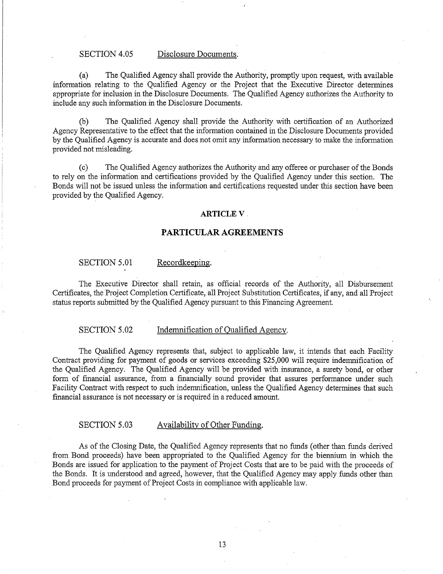### SECTION 4.05 Disclosure Documents.

(a) The Qualified Agency shall provide the Authority, promptly upon request, with available information relating to the Qualified Agency or the Project that the Executive Director determines appropriate for inclusion in the Disclosure Documents. The Qualified Agency authorizes the Authority to include any such information in the Disclosure Documents.

(b) The Qualified Agency shall provide the Authority with certification of an Authorized Agency Representative to the effect that the information contained in the Disclosure Documents provided by the Qualified Agency is accurate and does not omit any information necessary to make the information provided not misleading.

(c) The Qualified Agency authorizes the Authority and any offeree or purchaser of the Bonds to rely on the information and certifications provided by the Qualified Agency under this section. The Bonds will not be issued unless the information and certifications requested under this section have been provided by the Qualified Agency.

#### **ARTICLEV.**

### **PARTICULAR AGREEMENTS**

## SECTION 5.01 Recordkeeping.

The Executive Director shall retain, as official records of the Authority, all Disbursement Certificates, the Project Completion Certificate, all Project Substitution Certificates, if any, and all Project status reports submitted by the Qualified Agency pursuant to this Financing Agreement.

#### SECTION 5.02 Indemnification of Qualified Agency.

The Qualified Agency represents that, subject to applicable law, it intends that each Facility Contract providing for payment of goods or services exceeding \$25,000 will require indemnification of the Qualified Agency. The Qualified Agency will be provided with insurance, a surety bond, or other form of financial assurance, from a financially sound provider that assures performance under such Facility Contract with respect to such indemnification, unless the Qualified Agency determines that such financial assurance is not necessary or is required in a reduced amount.

#### SECTION 5.03 Availability of Other Funding.

As of the Closing Date, the Qualified Agency represents that no funds (other than funds derived from Bond proceeds) have been appropriated to the Qualified Agency for the biennium in which the Bonds are issued for application to the payment of Project Costs that are to be paid with the proceeds of the Bonds. It is understood and agreed, however, that the Qualified Agency may apply funds other than Bond proceeds for payment of Project Costs in compliance with applicable law.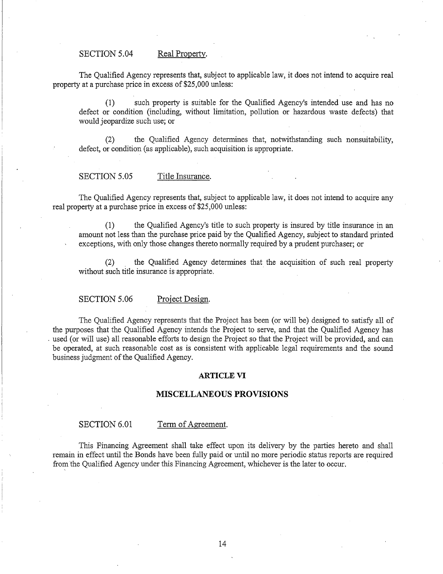## SECTION 5.04 Real Property.

The Qualified Agency represents that, subject to applicable law, it does not intend to acquire real property at a purchase price in excess of \$25,000 unless:

(1) such property is suitable for the Qualified Agency's intended use and has no defect or condition (including, without limitation, pollution or hazardous waste defects) that would jeopardize such use; or

(2) the Qualified Agency determines that, notwithstanding such nonsuitability, defect, or condition (as applicable), such acquisition is appropriate.

#### SECTION 5.05 Title Insurance.

The Qualified Agency represents that, subject to applicable law, it does not intend to acquire any real property at a purchase price in excess of \$25,000 unless:

(1) the Qualified Agency's title to such property is insured by title insurance in an amount not less than the purchase price paid by the Qualified Agency, subject to standard printed exceptions, with only those changes thereto normally required by a prudent purchaser; or

(2) the Qualified Agency determines that the acquisition of such real property without such title insurance is appropriate.

SECTION 5.06 Project Design.

The Qualified Agency represents that the Project has been (or will be) designed to satisfy all of the purposes that the Qualified Agency intends the Project to serve, and that the Qualified Agency has used (or will use) all reasonable efforts to design the Project so that the Project will be provided, and can be operated, at such reasonable cost as is consistent with applicable legal requirements and the sound business judgment of the Qualified Agency.

#### **ARTICLE VI**

#### **MISCELLANEOUS PROVISIONS**

#### SECTION 6.01 Term of Agreement.

This Financing Agreement shall take effect upon its delivery by the parties hereto and shall remain in effect until the Bonds have been fully paid or until no more periodic status reports are required from the Qualified Agency under this Financing Agreement, whichever is the later to occur.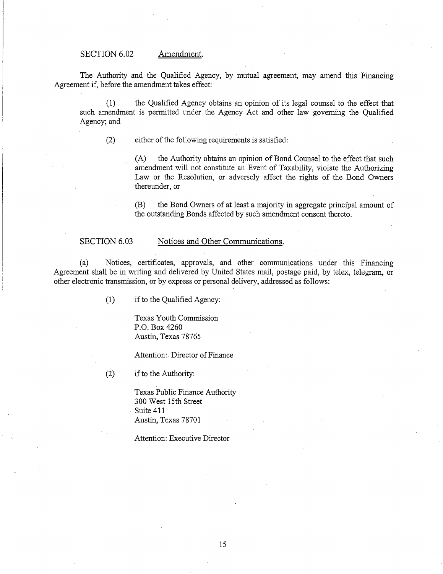### SECTION 6.02 Amendment.

The Authority and the Qualified Agency, by mutual agreement, may amend this Financing Agreement if, before the amendment takes effect:

(1) the Qualified Agency obtains an opinion of its legal counsel to the effect that such amendment is permitted under the Agency Act and other law governing the Qualified Agency; and

(2) either of the following requirements is satisfied:

(A) the Authority obtains an opinion of Bond Counsel to the effect that such amendment will not constitute an Event of Taxability, violate the Authorizing Law or the Resolution, or adversely affect the rights of the Bond Owners thereunder, or

(B) the Bond Owners of at least a majority in aggregate principal amount of the outstanding Bonds affected by such amendment consent thereto.

#### SECTION 6.03 Notices and Other Communications.

(a) Notices, certificates, approvals, and other communications under this Financing Agreement shall be in writing and delivered by United States mail, postage paid, by telex, telegram, or other electronic transmission, or by express or personal delivery, addressed as follows:

(1) if to the Qualified Agency:

Texas Youth Commission P.O. Box 4260 Austin, Texas 78765

Attention:. Director of Finance

(2) if to the Authority:

Texas Public Finance Authority 300 West 15th Street Suite 411 Austin, Texas 78701

Attention: Executive Director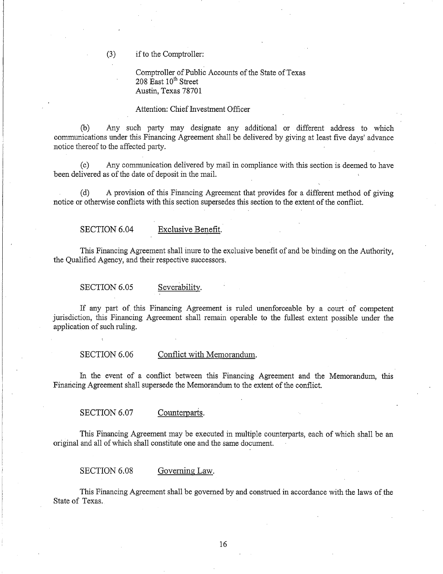(3) ifto the Comptroller:

Comptroller of Public Accounts of the State of Texas  $208$  East  $10<sup>th</sup>$  Street Austin, Texas 78701

#### Attention: Chief Investment Officer

(b) Any such party may designate any additional or different address to which communications under this Financing Agreement shall be delivered by giving at least five days' advance notice thereof to the affected party.

(c) Any communication delivered by mail in compliance with this section is deemed to have been delivered as of the date of deposit in the mail.

(d) A provision of this Financing Agreement that provides for a different method of giving notice or otherwise conflicts with this section supersedes this section to the extent of the conflict.

SECTION 6.04 Exclusive Benefit.

This Financing Agreement shall inure to the exclusive benefit of and be binding on the Authority, the Qualified Agency, and their respective successors.

SECTION 6.05 Severability.

If any part of this Financing Agreement is ruled unenforceable by a court of competent jurisdiction, this Financing Agreement shall remain operable to the fullest extent possible under the application of such ruling.

SECTION 6.06 Conflict with Memorandum.

In the event of a conflict between this Financing Agreement and the Memorandum, this Financing Agreement shall supersede the Memorandum to the extent of the conflict.

SECTION 6.07 Counterparts.

This Financing Agreement may be executed in multiple counterparts, each of which shall be an original and all of which shall constitute one and the same document.

SECTION 6.08 Governing Law.

This Financing Agreement shall be governed by and construed in accordance with the laws of the State of Texas.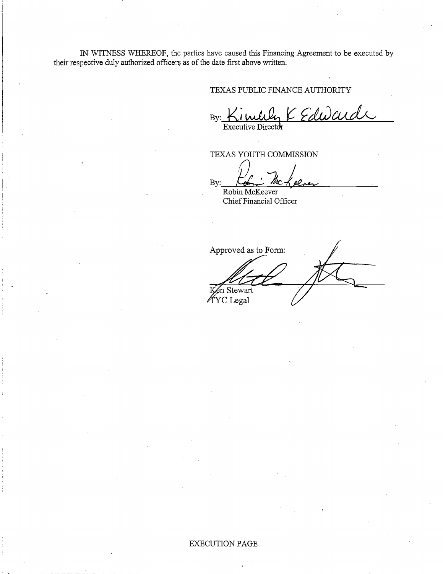IN WITNESS WHEREOF, the parties have caused this Financing Agreement to be executed by their respective duly authorized officers as of the date first above written.·

## TEXAS PUBLIC FINANCE AUTHORITY

 $By:$  Kinully  $K$  Edward

TEXAS YOUTH COMMISSION

By: Colin McKeever

Chief Financial Officer

Approved as to Form: n Stewart KYC Legal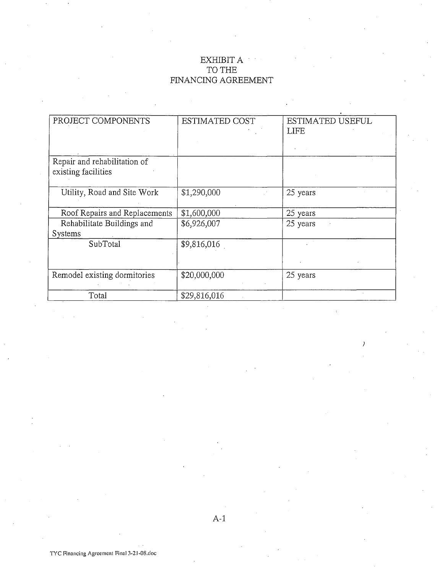# EXHIBIT A TO THE FINANCING AGREEMENT

| PROJECT COMPONENTS            | <b>ESTIMATED COST</b> | <b>ESTIMATED USEFUL</b> |
|-------------------------------|-----------------------|-------------------------|
|                               |                       | <b>LIFE</b>             |
|                               |                       |                         |
|                               |                       |                         |
| Repair and rehabilitation of  |                       |                         |
| existing facilities           |                       |                         |
|                               |                       |                         |
| Utility, Road and Site Work   | \$1,290,000           | 25 years                |
|                               |                       |                         |
| Roof Repairs and Replacements | \$1,600,000           | 25 years                |
| Rehabilitate Buildings and    | \$6,926,007           | 25 years                |
| Systems                       |                       |                         |
| SubTotal                      | \$9,816,016           |                         |
|                               |                       |                         |
|                               |                       |                         |
| Remodel existing dormitories  | \$20,000,000          | 25 years                |
|                               |                       |                         |
| Total                         | \$29,816,016          |                         |
|                               |                       |                         |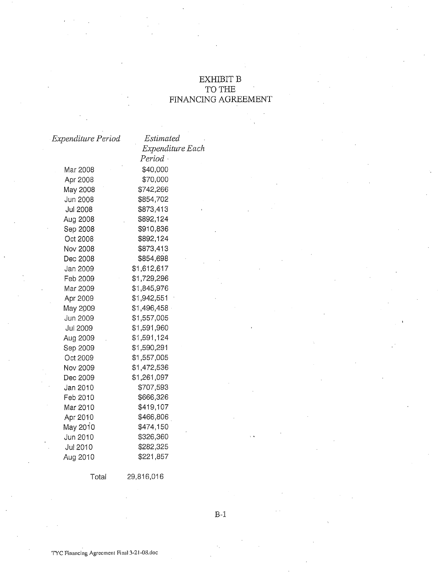## EXHIBIT B TO THE FINANCING AGREEMENT

| Expenditure Period | Estimated        |
|--------------------|------------------|
|                    | Expenditure Each |
|                    | $Period \cdot$   |
| Mar 2008           | \$40,000         |
| Apr 2008           | \$70,000         |
| May 2008           | \$742,266        |
| Jun 2008           | \$854,702        |
| Jul 2008           | \$873,413        |
| Aug 2008           | \$892,124        |
| Sep 2008           | \$910,836        |
| Oct 2008           | \$892,124        |
| Nov 2008           | \$873,413        |
| Dec 2008           | \$854,698        |
| Jan 2009           | \$1,612,617      |
| Feb 2009           | \$1,729,296      |
| Mar 2009           | \$1,845,976      |
| Apr 2009           | \$1,942,551      |
| May 2009           | \$1,496,458      |
| Jun 2009           | \$1,557,005      |
| Jul 2009           | \$1,591,960      |
| Aug 2009           | \$1,591,124      |
| Sep 2009           | \$1,590,291      |
| Oct 2009           | \$1,557,005      |
| Nov 2009           | \$1,472,536      |
| Dec 2009           | \$1,261,097      |
| Jan 2010           | \$707,593        |
| Feb 2010           | \$666,326        |
| Mar 2010           | \$419,107        |
| Apr 2010           | \$466,806        |
| May 2010           | \$474,150        |
| Jun 2010           | \$326,360        |
| Jul 2010           | \$282,325        |
| Aug 2010           | \$221,857        |

Total

29,816,016

B-1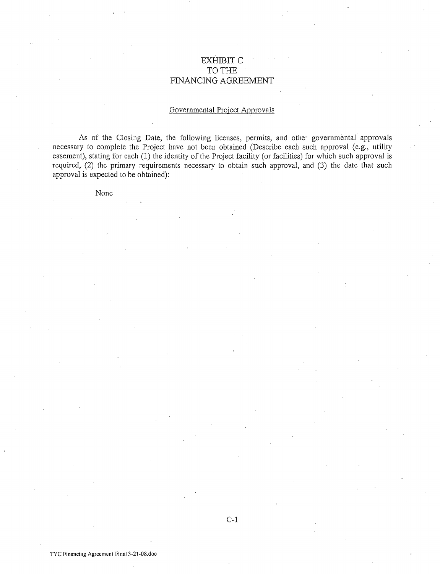## EXHIBIT C TO THE FINANCING AGREEMENT

## Governmental Project Approvals

As of the Closing Date, the following licenses, permits, and other governmental approvals necessary to complete the Project have not been obtained (Describe each such approval (e.g., utility easement), stating for each (1) the identity of the Project facility (or facilities) for which such approval is required, (2) the primary requirements necessary to obtain such approval, and (3) the date that such approval is expected to be obtained):

None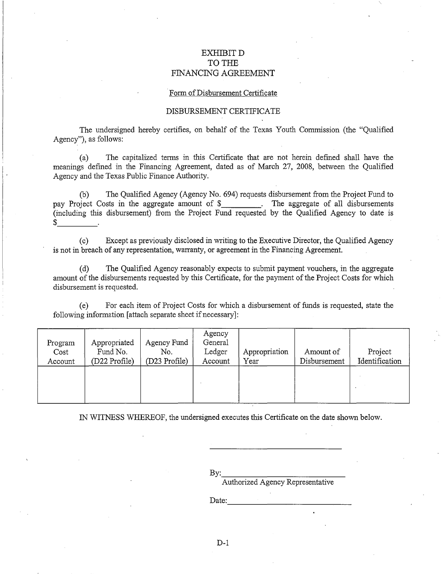## EXHIBIT D TO THE FINANCING AGREEMENT

#### Form of Disbursement Certificate

## DISBURSEMENT CERTIFICATE

The undersigned hereby certifies, on behalf of the Texas Youth Commission (the "Qualified Agency"), as follows:

(a) The capitalized terms in this Certificate that are not herein defined shall have the meanings defined in the Financing Agreement, dated as of March 27, 2008, between the Qualified Agency and the Texas Public Finance Authority.

(b) The Qualified Agency (Agency No. 694) requests disbursement from the Project Fund to pay Project Costs in the aggregate amount of \$\_\_\_\_\_\_\_\_. The aggregate of all disbursements (including this disbursement) from the Project Fund requested by the Qualified Agency to date is \$ \_\_\_ \_

(c) Except as previously disclosed in writing to the Executive Director, the Qualified Agency is not in breach of any representation, warranty, or agreement in the Financing Agreement.

(d) The Qualified Agency reasonably expects to submit payment vouchers, in the aggregate amount of the disbursements requested by this Certificate, for the payment of the Project Costs for which disbursement is requested.

(e) For each item of Project Costs for which a disbursement of funds is requested, state the following information [attach separate sheet if necessary]:

| Program<br>Cost<br>Account | Appropriated<br>Fund No.<br>(D22 Profile) | Agency Fund<br>No.<br>(D23 Profile) | Agency<br>General<br>Ledger<br>Account | ' Appropriation<br>Year | Amount of<br>Disbursement | Project<br>Identification |
|----------------------------|-------------------------------------------|-------------------------------------|----------------------------------------|-------------------------|---------------------------|---------------------------|
|                            |                                           |                                     |                                        |                         |                           |                           |

IN WITNESS WHEREOF, the undersigned executes this Certificate on the date shown below.

By: \_\_\_\_\_\_\_\_\_\_\_\_ \_

Authorized Agency Representative

Date: \_\_\_\_\_\_\_\_\_\_\_\_\_ \_

D-1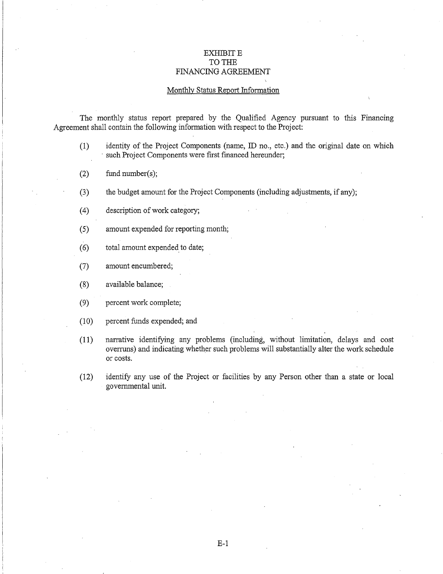## EXHIBIT E TO THE FINANCING AGREEMENT

### Monthly Status Report Information

The monthly status report prepared by the Qualified Agency pursuant to this Financing Agreement shall contain the following information with respect to the Project:

- (1) identity of the Project Components (name, ID no., etc.) and the original date on which such Project Components were first financed hereunder;
- (2) fund number(s);
- (3) the budget amount for the Project Components (including adjustments, if any);
- (4) description of work category;
- (5) amount expended for reporting month;
- ( 6) total amount expended to date;
- (7) amount encumbered;
- (8) available balance;
- (9) percent work complete;
- (10) percent funds expended; and
- (11) narrative identifying any problems (including, without limitation, delays and cost overruns) and indicating whether such problems will substantially alter the work schedule or costs.
- (12) identify any use of the Project or facilities by any Person other than a state or local governmental unit.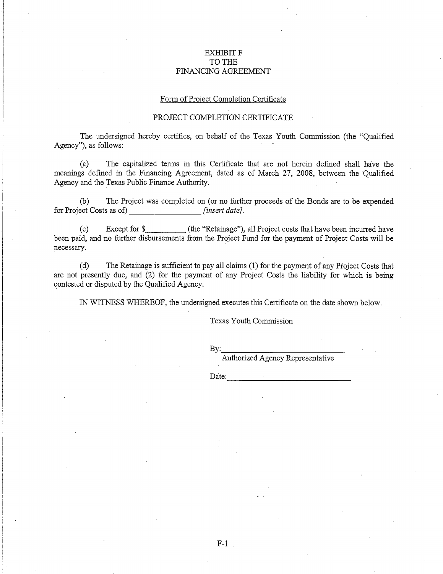## EXHIBIT F TO THE FINANCING AGREEMENT

#### Form of'Project Completion Certificate

## PROJECT COMPLETION CERTIFICATE

The undersigned hereby certifies, on behalf of the Texas Youth Commission (the "Qualified Agency"), as follows:

(a) The capitalized terms in this Certificate that are not herein defined shall have the meanings defined in the Financing Agreement, dated as of March 27, 2008, between the Qualified Agency and the Texas Public Finance Authority.

(b) The Project was completed on (or no further proceeds of the Bonds are to be expended for Project Costs as of) *[insert date].* 

(c) Except for\$ (the "Retainage"), all Project costs that have been incurred have been paid, and no further disbursements from the Project Fund for the payment of Project Costs will be necessary.

(d) The Retainage is sufficient to pay all claims ( 1) for the payment of any Project Costs that are not presently due, and (2) for the payment of any Project Costs the liability for which is being contested or disputed by the Qualified Agency.

. IN WITNESS WHEREOF, the undersigned executes this Certificate on the date shown below.

Texas Youth Commission

By: \_\_\_\_\_\_\_\_\_\_\_\_ \_

Authorized Agency Representative

Date:  $\Box$